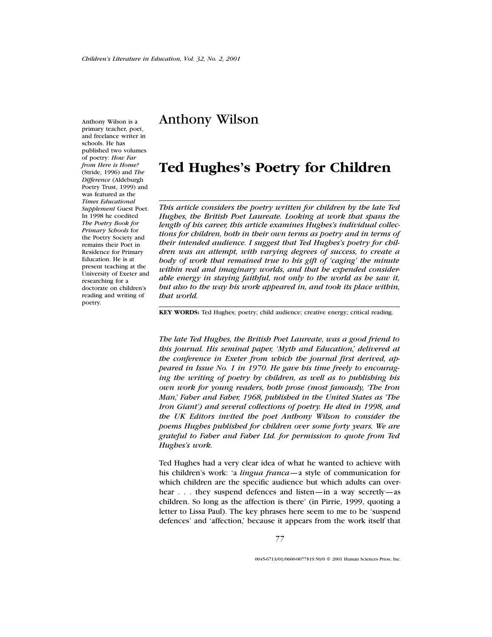## Anthony Wilson is a **Anthony Wilson** primary teacher, poet,

## **Ted Hughes's Poetry for Children**

*This article considers the poetry written for children by the late Ted Hughes, the British Poet Laureate. Looking at work that spans the length of his career, this article examines Hughes's individual collections for children, both in their own terms as poetry and in terms of their intended audience. I suggest that Ted Hughes's poetry for children was an attempt, with varying degrees of success, to create a body of work that remained true to his gift of 'caging' the minute within real and imaginary worlds, and that he expended considerable energy in staying faithful, not only to the world as he saw it, but also to the way his work appeared in, and took its place within, that world.*

**KEY WORDS:** Ted Hughes; poetry; child audience; creative energy; critical reading.

*The late Ted Hughes, the British Poet Laureate, was a good friend to this journal. His seminal paper, 'Myth and Education,' delivered at the conference in Exeter from which the journal first derived, appeared in Issue No. 1 in 1970. He gave his time freely to encouraging the writing of poetry by children, as well as to publishing his own work for young readers, both prose (most famously, 'The Iron Man,' Faber and Faber, 1968, published in the United States as 'The Iron Giant') and several collections of poetry. He died in 1998, and the UK Editors invited the poet Anthony Wilson to consider the poems Hughes published for children over some forty years. We are grateful to Faber and Faber Ltd. for permission to quote from Ted Hughes's work.*

Ted Hughes had a very clear idea of what he wanted to achieve with his children's work: 'a *lingua franca*—a style of communication for which children are the specific audience but which adults can overhear . . . they suspend defences and listen—in a way secretly—as children. So long as the affection is there' (in Pirrie, 1999, quoting a letter to Lissa Paul). The key phrases here seem to me to be 'suspend defences' and 'affection,' because it appears from the work itself that

and freelance writer in schools. He has published two volumes of poetry: *How Far from Here is Home?* (Stride, 1996) and *The Difference* (Aldeburgh Poetry Trust, 1999) and was featured as the *Times Educational Supplement* Guest Poet. In 1998 he coedited *The Poetry Book for Primary Schools* for the Poetry Society and remains their Poet in Residence for Primary Education. He is at present teaching at the University of Exeter and researching for a doctorate on children's reading and writing of

poetry.

*77*

0045-6713/01/0600-0077\$19.50/0 2001 Human Sciences Press, Inc.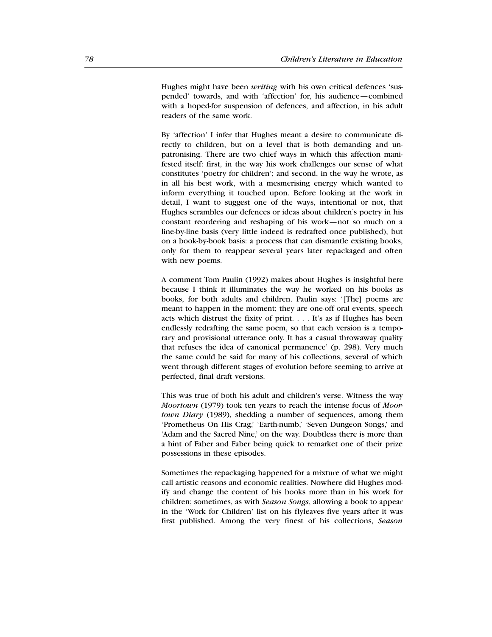Hughes might have been *writing* with his own critical defences 'suspended' towards, and with 'affection' for, his audience—combined with a hoped-for suspension of defences, and affection, in his adult readers of the same work.

By 'affection' I infer that Hughes meant a desire to communicate directly to children, but on a level that is both demanding and unpatronising. There are two chief ways in which this affection manifested itself: first, in the way his work challenges our sense of what constitutes 'poetry for children'; and second, in the way he wrote, as in all his best work, with a mesmerising energy which wanted to inform everything it touched upon. Before looking at the work in detail, I want to suggest one of the ways, intentional or not, that Hughes scrambles our defences or ideas about children's poetry in his constant reordering and reshaping of his work—not so much on a line-by-line basis (very little indeed is redrafted once published), but on a book-by-book basis: a process that can dismantle existing books, only for them to reappear several years later repackaged and often with new poems.

A comment Tom Paulin (1992) makes about Hughes is insightful here because I think it illuminates the way he worked on his books as books, for both adults and children. Paulin says: '[The] poems are meant to happen in the moment; they are one-off oral events, speech acts which distrust the fixity of print. . . . It's as if Hughes has been endlessly redrafting the same poem, so that each version is a temporary and provisional utterance only. It has a casual throwaway quality that refuses the idea of canonical permanence' (p. 298). Very much the same could be said for many of his collections, several of which went through different stages of evolution before seeming to arrive at perfected, final draft versions.

This was true of both his adult and children's verse. Witness the way *Moortown* (1979) took ten years to reach the intense focus of *Moortown Diary* (1989), shedding a number of sequences, among them 'Prometheus On His Crag,' 'Earth-numb,' 'Seven Dungeon Songs,' and 'Adam and the Sacred Nine,' on the way. Doubtless there is more than a hint of Faber and Faber being quick to remarket one of their prize possessions in these episodes.

Sometimes the repackaging happened for a mixture of what we might call artistic reasons and economic realities. Nowhere did Hughes modify and change the content of his books more than in his work for children; sometimes, as with *Season Songs*, allowing a book to appear in the 'Work for Children' list on his flyleaves five years after it was first published. Among the very finest of his collections, *Season*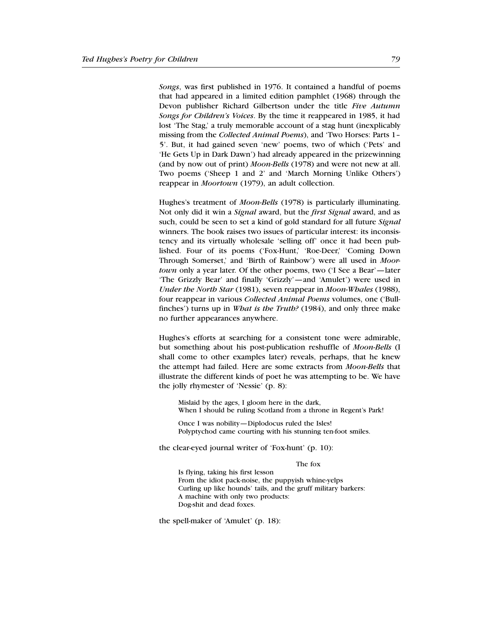*Songs*, was first published in 1976. It contained a handful of poems that had appeared in a limited edition pamphlet (1968) through the Devon publisher Richard Gilbertson under the title *Five Autumn Songs for Children's Voices*. By the time it reappeared in 1985, it had lost 'The Stag,' a truly memorable account of a stag hunt (inexplicably missing from the *Collected Animal Poems*), and 'Two Horses: Parts 1– 5'. But, it had gained seven 'new' poems, two of which ('Pets' and 'He Gets Up in Dark Dawn') had already appeared in the prizewinning (and by now out of print) *Moon-Bells* (1978) and were not new at all. Two poems ('Sheep 1 and 2' and 'March Morning Unlike Others') reappear in *Moortown* (1979), an adult collection.

Hughes's treatment of *Moon-Bells* (1978) is particularly illuminating. Not only did it win a *Signal* award, but the *first Signal* award, and as such, could be seen to set a kind of gold standard for all future *Signal* winners. The book raises two issues of particular interest: its inconsistency and its virtually wholesale 'selling off' once it had been published. Four of its poems ('Fox-Hunt,' 'Roe-Deer,' 'Coming Down Through Somerset,' and 'Birth of Rainbow') were all used in *Moortown* only a year later. Of the other poems, two ('I See a Bear'—later 'The Grizzly Bear' and finally 'Grizzly'—and 'Amulet') were used in *Under the North Star* (1981), seven reappear in *Moon-Whales* (1988), four reappear in various *Collected Animal Poems* volumes, one ('Bullfinches') turns up in *What is the Truth?* (1984), and only three make no further appearances anywhere.

Hughes's efforts at searching for a consistent tone were admirable, but something about his post-publication reshuffle of *Moon-Bells* (I shall come to other examples later) reveals, perhaps, that he knew the attempt had failed. Here are some extracts from *Moon-Bells* that illustrate the different kinds of poet he was attempting to be. We have the jolly rhymester of 'Nessie' (p. 8):

Mislaid by the ages, I gloom here in the dark, When I should be ruling Scotland from a throne in Regent's Park!

Once I was nobility—Diplodocus ruled the Isles! Polyptychod came courting with his stunning ten-foot smiles.

the clear-eyed journal writer of 'Fox-hunt' (p. 10):

## The fox

Is flying, taking his first lesson From the idiot pack-noise, the puppyish whine-yelps Curling up like hounds' tails, and the gruff military barkers: A machine with only two products: Dog-shit and dead foxes.

the spell-maker of 'Amulet' (p. 18):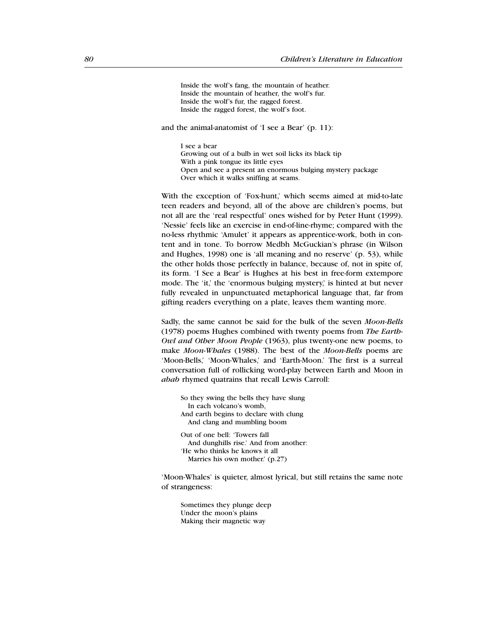Inside the wolf's fang, the mountain of heather. Inside the mountain of heather, the wolf's fur. Inside the wolf's fur, the ragged forest. Inside the ragged forest, the wolf's foot.

and the animal-anatomist of 'I see a Bear' (p. 11):

I see a bear Growing out of a bulb in wet soil licks its black tip With a pink tongue its little eyes Open and see a present an enormous bulging mystery package Over which it walks sniffing at seams.

With the exception of 'Fox-hunt,' which seems aimed at mid-to-late teen readers and beyond, all of the above are children's poems, but not all are the 'real respectful' ones wished for by Peter Hunt (1999). 'Nessie' feels like an exercise in end-of-line-rhyme; compared with the no-less rhythmic 'Amulet' it appears as apprentice-work, both in content and in tone. To borrow Medbh McGuckian's phrase (in Wilson and Hughes, 1998) one is 'all meaning and no reserve' (p. 53), while the other holds those perfectly in balance, because of, not in spite of, its form. 'I See a Bear' is Hughes at his best in free-form extempore mode. The 'it,' the 'enormous bulging mystery,' is hinted at but never fully revealed in unpunctuated metaphorical language that, far from gifting readers everything on a plate, leaves them wanting more.

Sadly, the same cannot be said for the bulk of the seven *Moon-Bells* (1978) poems Hughes combined with twenty poems from *The Earth-Owl and Other Moon People* (1963), plus twenty-one new poems, to make *Moon-Whales* (1988). The best of the *Moon-Bells* poems are 'Moon-Bells,' 'Moon-Whales,' and 'Earth-Moon.' The first is a surreal conversation full of rollicking word-play between Earth and Moon in *abab* rhymed quatrains that recall Lewis Carroll:

So they swing the bells they have slung In each volcano's womb, And earth begins to declare with clung And clang and mumbling boom Out of one bell: 'Towers fall And dunghills rise.' And from another: 'He who thinks he knows it all Marries his own mother.' (p.27)

'Moon-Whales' is quieter, almost lyrical, but still retains the same note of strangeness:

Sometimes they plunge deep Under the moon's plains Making their magnetic way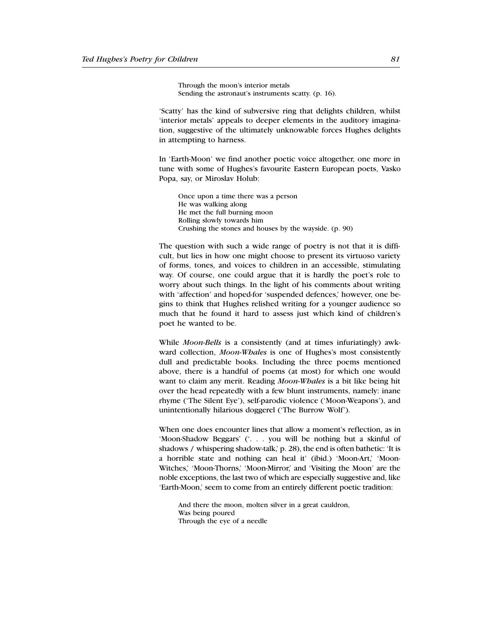Through the moon's interior metals Sending the astronaut's instruments scatty. (p. 16).

'Scatty' has the kind of subversive ring that delights children, whilst 'interior metals' appeals to deeper elements in the auditory imagination, suggestive of the ultimately unknowable forces Hughes delights in attempting to harness.

In 'Earth-Moon' we find another poetic voice altogether, one more in tune with some of Hughes's favourite Eastern European poets, Vasko Popa, say, or Miroslav Holub:

Once upon a time there was a person He was walking along He met the full burning moon Rolling slowly towards him Crushing the stones and houses by the wayside. (p. 90)

The question with such a wide range of poetry is not that it is difficult, but lies in how one might choose to present its virtuoso variety of forms, tones, and voices to children in an accessible, stimulating way. Of course, one could argue that it is hardly the poet's role to worry about such things. In the light of his comments about writing with 'affection' and hoped-for 'suspended defences,' however, one begins to think that Hughes relished writing for a younger audience so much that he found it hard to assess just which kind of children's poet he wanted to be.

While *Moon-Bells* is a consistently (and at times infuriatingly) awkward collection, *Moon-Whales* is one of Hughes's most consistently dull and predictable books. Including the three poems mentioned above, there is a handful of poems (at most) for which one would want to claim any merit. Reading *Moon-Whales* is a bit like being hit over the head repeatedly with a few blunt instruments, namely: inane rhyme ('The Silent Eye'), self-parodic violence ('Moon-Weapons'), and unintentionally hilarious doggerel ('The Burrow Wolf').

When one does encounter lines that allow a moment's reflection, as in 'Moon-Shadow Beggars' ('. . . you will be nothing but a skinful of shadows / whispering shadow-talk,' p. 28), the end is often bathetic: 'It is a horrible state and nothing can heal it' (ibid.) 'Moon-Art,' 'Moon-Witches,' 'Moon-Thorns,' 'Moon-Mirror,' and 'Visiting the Moon' are the noble exceptions, the last two of which are especially suggestive and, like 'Earth-Moon,' seem to come from an entirely different poetic tradition:

And there the moon, molten silver in a great cauldron, Was being poured Through the eye of a needle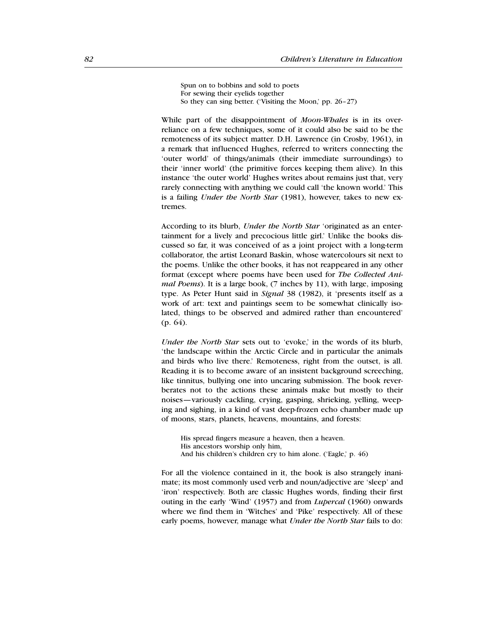Spun on to bobbins and sold to poets For sewing their eyelids together So they can sing better. ('Visiting the Moon,' pp. 26–27)

While part of the disappointment of *Moon-Whales* is in its overreliance on a few techniques, some of it could also be said to be the remoteness of its subject matter. D.H. Lawrence (in Crosby, 1961), in a remark that influenced Hughes, referred to writers connecting the 'outer world' of things/animals (their immediate surroundings) to their 'inner world' (the primitive forces keeping them alive). In this instance 'the outer world' Hughes writes about remains just that, very rarely connecting with anything we could call 'the known world.' This is a failing *Under the North Star* (1981), however, takes to new extremes.

According to its blurb, *Under the North Star* 'originated as an entertainment for a lively and precocious little girl.' Unlike the books discussed so far, it was conceived of as a joint project with a long-term collaborator, the artist Leonard Baskin, whose watercolours sit next to the poems. Unlike the other books, it has not reappeared in any other format (except where poems have been used for *The Collected Animal Poems*). It is a large book, (7 inches by 11), with large, imposing type. As Peter Hunt said in *Signal* 38 (1982), it 'presents itself as a work of art: text and paintings seem to be somewhat clinically isolated, things to be observed and admired rather than encountered' (p. 64).

*Under the North Star* sets out to 'evoke,' in the words of its blurb, 'the landscape within the Arctic Circle and in particular the animals and birds who live there.' Remoteness, right from the outset, is all. Reading it is to become aware of an insistent background screeching, like tinnitus, bullying one into uncaring submission. The book reverberates not to the actions these animals make but mostly to their noises—variously cackling, crying, gasping, shrieking, yelling, weeping and sighing, in a kind of vast deep-frozen echo chamber made up of moons, stars, planets, heavens, mountains, and forests:

His spread fingers measure a heaven, then a heaven. His ancestors worship only him, And his children's children cry to him alone. ('Eagle,' p. 46)

For all the violence contained in it, the book is also strangely inanimate; its most commonly used verb and noun/adjective are 'sleep' and 'iron' respectively. Both are classic Hughes words, finding their first outing in the early 'Wind' (1957) and from *Lupercal* (1960) onwards where we find them in 'Witches' and 'Pike' respectively. All of these early poems, however, manage what *Under the North Star* fails to do: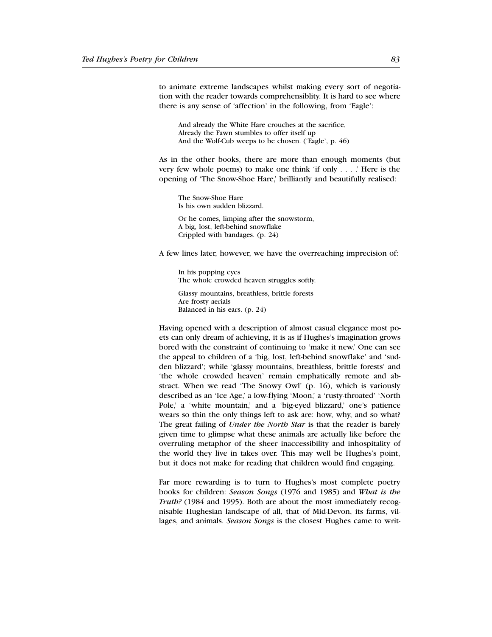to animate extreme landscapes whilst making every sort of negotiation with the reader towards comprehensiblity. It is hard to see where there is any sense of 'affection' in the following, from 'Eagle':

And already the White Hare crouches at the sacrifice, Already the Fawn stumbles to offer itself up And the Wolf-Cub weeps to be chosen. ('Eagle', p. 46)

As in the other books, there are more than enough moments (but very few whole poems) to make one think 'if only . . . .' Here is the opening of 'The Snow-Shoe Hare,' brilliantly and beautifully realised:

The Snow-Shoe Hare Is his own sudden blizzard. Or he comes, limping after the snowstorm, A big, lost, left-behind snowflake Crippled with bandages. (p. 24)

A few lines later, however, we have the overreaching imprecision of:

In his popping eyes The whole crowded heaven struggles softly. Glassy mountains, breathless, brittle forests Are frosty aerials Balanced in his ears. (p. 24)

Having opened with a description of almost casual elegance most poets can only dream of achieving, it is as if Hughes's imagination grows bored with the constraint of continuing to 'make it new.' One can see the appeal to children of a 'big, lost, left-behind snowflake' and 'sudden blizzard'; while 'glassy mountains, breathless, brittle forests' and 'the whole crowded heaven' remain emphatically remote and abstract. When we read 'The Snowy Owl' (p. 16), which is variously described as an 'Ice Age,' a low-flying 'Moon,' a 'rusty-throated' 'North Pole,' a 'white mountain,' and a 'big-eyed blizzard,' one's patience wears so thin the only things left to ask are: how, why, and so what? The great failing of *Under the North Star* is that the reader is barely given time to glimpse what these animals are actually like before the overruling metaphor of the sheer inaccessibility and inhospitality of the world they live in takes over. This may well be Hughes's point, but it does not make for reading that children would find engaging.

Far more rewarding is to turn to Hughes's most complete poetry books for children: *Season Songs* (1976 and 1985) and *What is the Truth?* (1984 and 1995). Both are about the most immediately recognisable Hughesian landscape of all, that of Mid-Devon, its farms, villages, and animals. *Season Songs* is the closest Hughes came to writ-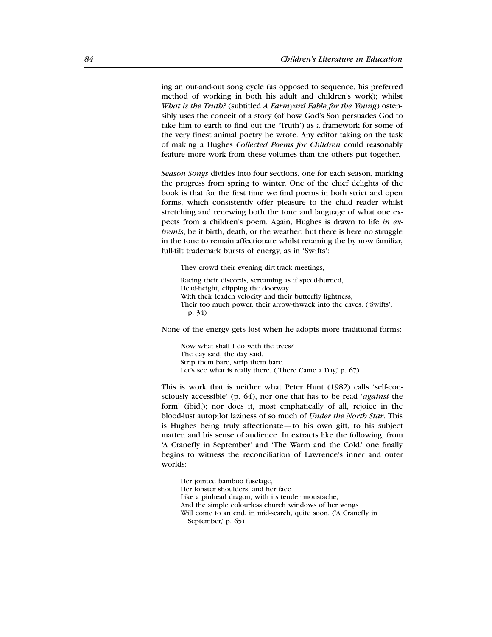ing an out-and-out song cycle (as opposed to sequence, his preferred method of working in both his adult and children's work); whilst *What is the Truth?* (subtitled *A Farmyard Fable for the Young*) ostensibly uses the conceit of a story (of how God's Son persuades God to take him to earth to find out the 'Truth') as a framework for some of the very finest animal poetry he wrote. Any editor taking on the task of making a Hughes *Collected Poems for Children* could reasonably feature more work from these volumes than the others put together.

*Season Songs* divides into four sections, one for each season, marking the progress from spring to winter. One of the chief delights of the book is that for the first time we find poems in both strict and open forms, which consistently offer pleasure to the child reader whilst stretching and renewing both the tone and language of what one expects from a children's poem. Again, Hughes is drawn to life *in extremis*, be it birth, death, or the weather; but there is here no struggle in the tone to remain affectionate whilst retaining the by now familiar, full-tilt trademark bursts of energy, as in 'Swifts':

They crowd their evening dirt-track meetings,

Racing their discords, screaming as if speed-burned, Head-height, clipping the doorway With their leaden velocity and their butterfly lightness, Their too much power, their arrow-thwack into the eaves. ('Swifts', p. 34)

None of the energy gets lost when he adopts more traditional forms:

Now what shall I do with the trees? The day said, the day said. Strip them bare, strip them bare. Let's see what is really there. ('There Came a Day,' p. 67)

This is work that is neither what Peter Hunt (1982) calls 'self-consciously accessible' (p. 64), nor one that has to be read '*against* the form' (ibid.); nor does it, most emphatically of all, rejoice in the blood-lust autopilot laziness of so much of *Under the North Star*. This is Hughes being truly affectionate—to his own gift, to his subject matter, and his sense of audience. In extracts like the following, from 'A Cranefly in September' and 'The Warm and the Cold,' one finally begins to witness the reconciliation of Lawrence's inner and outer worlds:

Her jointed bamboo fuselage, Her lobster shoulders, and her face Like a pinhead dragon, with its tender moustache, And the simple colourless church windows of her wings Will come to an end, in mid-search, quite soon. ('A Cranefly in September, p. 65)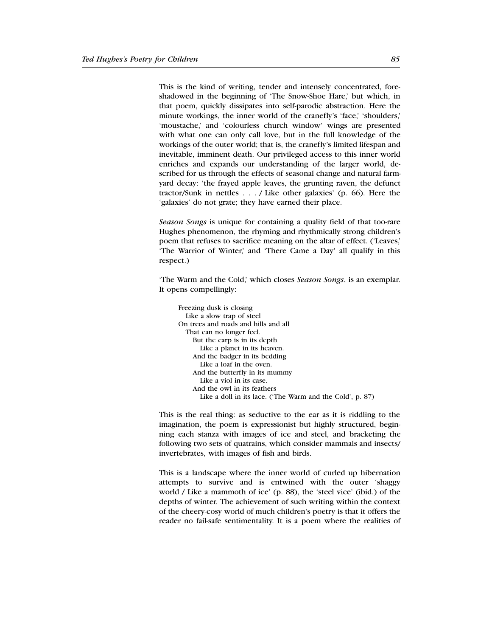This is the kind of writing, tender and intensely concentrated, foreshadowed in the beginning of 'The Snow-Shoe Hare,' but which, in that poem, quickly dissipates into self-parodic abstraction. Here the minute workings, the inner world of the cranefly's 'face,' 'shoulders,' 'moustache,' and 'colourless church window' wings are presented with what one can only call love, but in the full knowledge of the workings of the outer world; that is, the cranefly's limited lifespan and inevitable, imminent death. Our privileged access to this inner world enriches and expands our understanding of the larger world, described for us through the effects of seasonal change and natural farmyard decay: 'the frayed apple leaves, the grunting raven, the defunct tractor/Sunk in nettles . . . / Like other galaxies' (p. 66). Here the 'galaxies' do not grate; they have earned their place.

*Season Songs* is unique for containing a quality field of that too-rare Hughes phenomenon, the rhyming and rhythmically strong children's poem that refuses to sacrifice meaning on the altar of effect. ('Leaves,' 'The Warrior of Winter,' and 'There Came a Day' all qualify in this respect.)

'The Warm and the Cold,' which closes *Season Songs*, is an exemplar. It opens compellingly:

Freezing dusk is closing Like a slow trap of steel On trees and roads and hills and all That can no longer feel. But the carp is in its depth Like a planet in its heaven. And the badger in its bedding Like a loaf in the oven. And the butterfly in its mummy Like a viol in its case. And the owl in its feathers Like a doll in its lace. ('The Warm and the Cold', p. 87)

This is the real thing: as seductive to the ear as it is riddling to the imagination, the poem is expressionist but highly structured, beginning each stanza with images of ice and steel, and bracketing the following two sets of quatrains, which consider mammals and insects/ invertebrates, with images of fish and birds.

This is a landscape where the inner world of curled up hibernation attempts to survive and is entwined with the outer 'shaggy world / Like a mammoth of ice' (p. 88), the 'steel vice' (ibid.) of the depths of winter. The achievement of such writing within the context of the cheery-cosy world of much children's poetry is that it offers the reader no fail-safe sentimentality. It is a poem where the realities of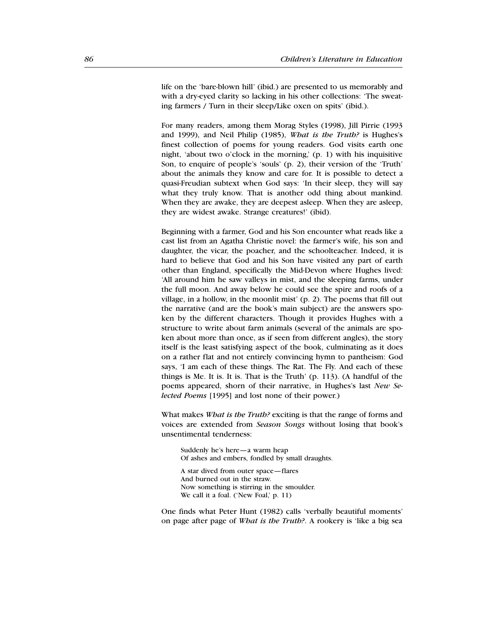life on the 'bare-blown hill' (ibid.) are presented to us memorably and with a dry-eyed clarity so lacking in his other collections: 'The sweating farmers / Turn in their sleep/Like oxen on spits' (ibid.).

For many readers, among them Morag Styles (1998), Jill Pirrie (1993 and 1999), and Neil Philip (1985), *What is the Truth?* is Hughes's finest collection of poems for young readers. God visits earth one night, 'about two o'clock in the morning,' (p. 1) with his inquisitive Son, to enquire of people's 'souls' (p. 2), their version of the 'Truth' about the animals they know and care for. It is possible to detect a quasi-Freudian subtext when God says: 'In their sleep, they will say what they truly know. That is another odd thing about mankind. When they are awake, they are deepest asleep. When they are asleep, they are widest awake. Strange creatures!' (ibid).

Beginning with a farmer, God and his Son encounter what reads like a cast list from an Agatha Christie novel: the farmer's wife, his son and daughter, the vicar, the poacher, and the schoolteacher. Indeed, it is hard to believe that God and his Son have visited any part of earth other than England, specifically the Mid-Devon where Hughes lived: 'All around him he saw valleys in mist, and the sleeping farms, under the full moon. And away below he could see the spire and roofs of a village, in a hollow, in the moonlit mist' (p. 2). The poems that fill out the narrative (and are the book's main subject) are the answers spoken by the different characters. Though it provides Hughes with a structure to write about farm animals (several of the animals are spoken about more than once, as if seen from different angles), the story itself is the least satisfying aspect of the book, culminating as it does on a rather flat and not entirely convincing hymn to pantheism: God says, 'I am each of these things. The Rat. The Fly. And each of these things is Me. It is. It is. That is the Truth' (p. 113). (A handful of the poems appeared, shorn of their narrative, in Hughes's last *New Selected Poems* [1995] and lost none of their power.)

What makes *What is the Truth?* exciting is that the range of forms and voices are extended from *Season Songs* without losing that book's unsentimental tenderness:

Suddenly he's here—a warm heap Of ashes and embers, fondled by small draughts. A star dived from outer space—flares And burned out in the straw. Now something is stirring in the smoulder. We call it a foal. ('New Foal,' p. 11)

One finds what Peter Hunt (1982) calls 'verbally beautiful moments' on page after page of *What is the Truth?*. A rookery is 'like a big sea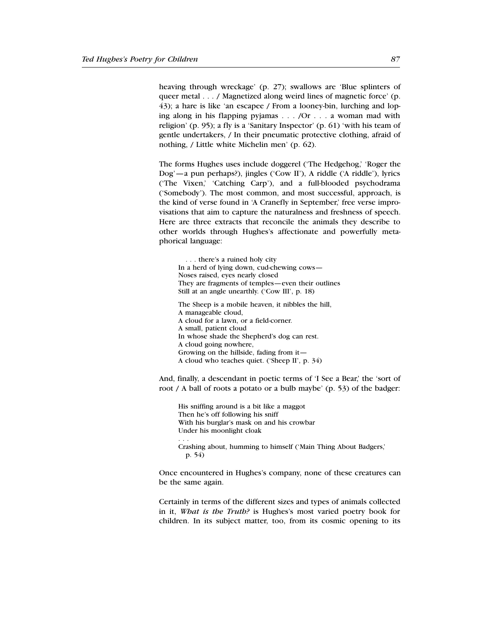heaving through wreckage' (p. 27); swallows are 'Blue splinters of queer metal . . . / Magnetized along weird lines of magnetic force' (p. 43); a hare is like 'an escapee / From a looney-bin, lurching and loping along in his flapping pyjamas . . . /Or . . . a woman mad with religion' (p. 95); a fly is a 'Sanitary Inspector' (p. 61) 'with his team of gentle undertakers, / In their pneumatic protective clothing, afraid of nothing, / Little white Michelin men' (p. 62).

The forms Hughes uses include doggerel ('The Hedgehog,' 'Roger the Dog'—a pun perhaps?), jingles ('Cow II'), A riddle ('A riddle'), lyrics ('The Vixen,' 'Catching Carp'), and a full-blooded psychodrama ('Somebody'). The most common, and most successful, approach, is the kind of verse found in 'A Cranefly in September,' free verse improvisations that aim to capture the naturalness and freshness of speech. Here are three extracts that reconcile the animals they describe to other worlds through Hughes's affectionate and powerfully metaphorical language:

. . . there's a ruined holy city In a herd of lying down, cud-chewing cows— Noses raised, eyes nearly closed They are fragments of temples—even their outlines Still at an angle unearthly. ('Cow III', p. 18) The Sheep is a mobile heaven, it nibbles the hill, A manageable cloud, A cloud for a lawn, or a field-corner. A small, patient cloud In whose shade the Shepherd's dog can rest. A cloud going nowhere, Growing on the hillside, fading from it— A cloud who teaches quiet. ('Sheep II', p. 34)

And, finally, a descendant in poetic terms of 'I See a Bear,' the 'sort of root / A ball of roots a potato or a bulb maybe' (p. 53) of the badger:

His sniffing around is a bit like a maggot Then he's off following his sniff With his burglar's mask on and his crowbar Under his moonlight cloak . . .

Crashing about, humming to himself ('Main Thing About Badgers,' p. 54)

Once encountered in Hughes's company, none of these creatures can be the same again.

Certainly in terms of the different sizes and types of animals collected in it, *What is the Truth?* is Hughes's most varied poetry book for children. In its subject matter, too, from its cosmic opening to its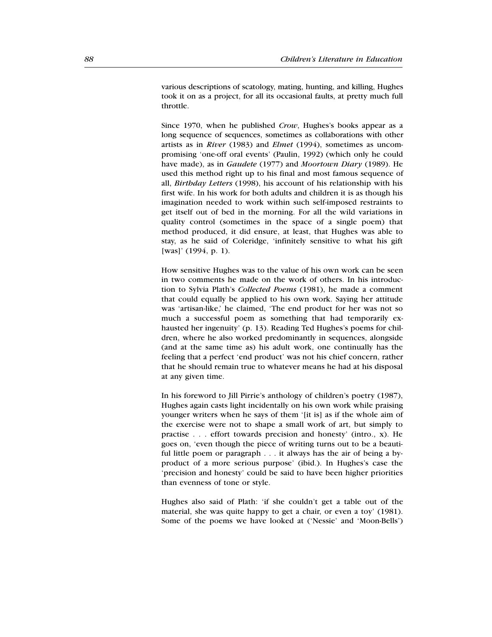various descriptions of scatology, mating, hunting, and killing, Hughes took it on as a project, for all its occasional faults, at pretty much full throttle.

Since 1970, when he published *Crow*, Hughes's books appear as a long sequence of sequences, sometimes as collaborations with other artists as in *River* (1983) and *Elmet* (1994), sometimes as uncompromising 'one-off oral events' (Paulin, 1992) (which only he could have made), as in *Gaudete* (1977) and *Moortown Diary* (1989). He used this method right up to his final and most famous sequence of all, *Birthday Letters* (1998), his account of his relationship with his first wife. In his work for both adults and children it is as though his imagination needed to work within such self-imposed restraints to get itself out of bed in the morning. For all the wild variations in quality control (sometimes in the space of a single poem) that method produced, it did ensure, at least, that Hughes was able to stay, as he said of Coleridge, 'infinitely sensitive to what his gift [was]' (1994, p. 1).

How sensitive Hughes was to the value of his own work can be seen in two comments he made on the work of others. In his introduction to Sylvia Plath's *Collected Poems* (1981), he made a comment that could equally be applied to his own work. Saying her attitude was 'artisan-like,' he claimed, 'The end product for her was not so much a successful poem as something that had temporarily exhausted her ingenuity' (p. 13). Reading Ted Hughes's poems for children, where he also worked predominantly in sequences, alongside (and at the same time as) his adult work, one continually has the feeling that a perfect 'end product' was not his chief concern, rather that he should remain true to whatever means he had at his disposal at any given time.

In his foreword to Jill Pirrie's anthology of children's poetry (1987), Hughes again casts light incidentally on his own work while praising younger writers when he says of them '[it is] as if the whole aim of the exercise were not to shape a small work of art, but simply to practise . . . effort towards precision and honesty' (intro., x). He goes on, 'even though the piece of writing turns out to be a beautiful little poem or paragraph . . . it always has the air of being a byproduct of a more serious purpose' (ibid.). In Hughes's case the 'precision and honesty' could be said to have been higher priorities than evenness of tone or style.

Hughes also said of Plath: 'if she couldn't get a table out of the material, she was quite happy to get a chair, or even a toy' (1981). Some of the poems we have looked at ('Nessie' and 'Moon-Bells')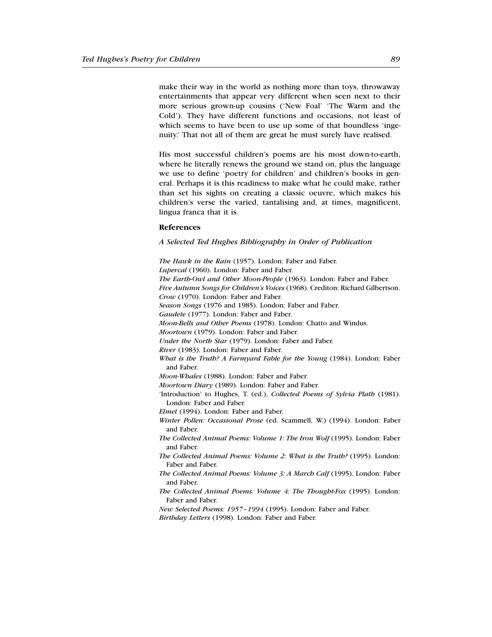make their way in the world as nothing more than toys, throwaway entertainments that appear very different when seen next to their more serious grown-up cousins ('New Foal' 'The Warm and the Cold'). They have different functions and occasions, not least of which seems to have been to use up some of that boundless 'ingenuity.' That not all of them are great he must surely have realised.

His most successful children's poems are his most down-to-earth, where he literally renews the ground we stand on, plus the language we use to define 'poetry for children' and children's books in general. Perhaps it is this readiness to make what he could make, rather than set his sights on creating a classic oeuvre, which makes his children's verse the varied, tantalising and, at times, magnificent, lingua franca that it is.

## **References**

*A Selected Ted Hughes Bibliography in Order of Publication*

*The Hawk in the Rain* (1957). London: Faber and Faber. *Lupercal* (1960). London: Faber and Faber. *The Earth-Owl and Other Moon-People* (1963). London: Faber and Faber. *Five Autumn Songs for Children's Voices* (1968). Crediton: Richard Gilbertson. *Crow* (1970). London: Faber and Faber. *Season Songs* (1976 and 1985). London: Faber and Faber. *Gaudete* (1977). London: Faber and Faber. *Moon-Bells and Other Poems* (1978). London: Chatto and Windus. *Moortown* (1979). London: Faber and Faber. *Under the North Star* (1979). London: Faber and Faber. *River* (1983). London: Faber and Faber. *What is the Truth? A Farmyard Fable for the Young* (1984). London: Faber and Faber. *Moon-Whales* (1988). London: Faber and Faber. *Moortown Diary* (1989). London: Faber and Faber. 'Introduction' to Hughes, T. (ed.), *Collected Poems of Sylvia Plath* (1981). London: Faber and Faber. *Elmet* (1994). London: Faber and Faber. *Winter Pollen: Occasional Prose* (ed. Scammell, W.) (1994). London: Faber and Faber. *The Collected Animal Poems: Volume 1: The Iron Wolf* (1995). London: Faber and Faber. *The Collected Animal Poems: Volume 2: What is the Truth?* (1995). London: Faber and Faber. *The Collected Animal Poems: Volume 3: A March Calf* (1995). London: Faber and Faber. *The Collected Animal Poems: Volume 4: The Thought-Fox* (1995). London: Faber and Faber. *New Selected Poems: 1957–1994* (1995). London: Faber and Faber. *Birthday Letters* (1998). London: Faber and Faber.